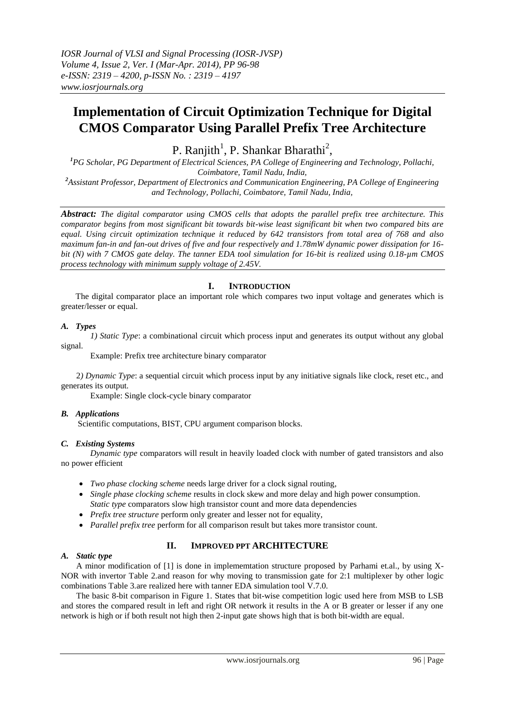# **Implementation of Circuit Optimization Technique for Digital CMOS Comparator Using Parallel Prefix Tree Architecture**

P. Ranjith<sup>1</sup>, P. Shankar Bharathi<sup>2</sup>,

*<sup>1</sup>PG Scholar, PG Department of Electrical Sciences, PA College of Engineering and Technology, Pollachi, Coimbatore, Tamil Nadu, India, <sup>2</sup>Assistant Professor, Department of Electronics and Communication Engineering, PA College of Engineering and Technology, Pollachi, Coimbatore, Tamil Nadu, India,*

*Abstract: The digital comparator using CMOS cells that adopts the parallel prefix tree architecture. This comparator begins from most significant bit towards bit-wise least significant bit when two compared bits are equal. Using circuit optimization technique it reduced by 642 transistors from total area of 768 and also maximum fan-in and fan-out drives of five and four respectively and 1.78mW dynamic power dissipation for 16 bit (N) with 7 CMOS gate delay. The tanner EDA tool simulation for 16-bit is realized using 0.18-µm CMOS process technology with minimum supply voltage of 2.45V.* 

# **I. INTRODUCTION**

The digital comparator place an important role which compares two input voltage and generates which is greater/lesser or equal.

# *A. Types*

*1) Static Type*: a combinational circuit which process input and generates its output without any global signal.

Example: Prefix tree architecture binary comparator

2*) Dynamic Type*: a sequential circuit which process input by any initiative signals like clock, reset etc., and generates its output.

Example: Single clock-cycle binary comparator

# *B. Applications*

Scientific computations, BIST, CPU argument comparison blocks.

# *C. Existing Systems*

*Dynamic type* comparators will result in heavily loaded clock with number of gated transistors and also no power efficient

- *Two phase clocking scheme* needs large driver for a clock signal routing,
- *Single phase clocking scheme* results in clock skew and more delay and high power consumption. *Static type* comparators slow high transistor count and more data dependencies
- *Prefix tree structure* perform only greater and lesser not for equality,
- *Parallel prefix tree* perform for all comparison result but takes more transistor count.

# **II. IMPROVED PPT ARCHITECTURE**

## *A. Static type*

A minor modification of [1] is done in implememtation structure proposed by Parhami et.al., by using X-NOR with invertor Table 2.and reason for why moving to transmission gate for 2:1 multiplexer by other logic combinations Table 3.are realized here with tanner EDA simulation tool V.7.0.

The basic 8-bit comparison in Figure 1. States that bit-wise competition logic used here from MSB to LSB and stores the compared result in left and right OR network it results in the A or B greater or lesser if any one network is high or if both result not high then 2-input gate shows high that is both bit-width are equal.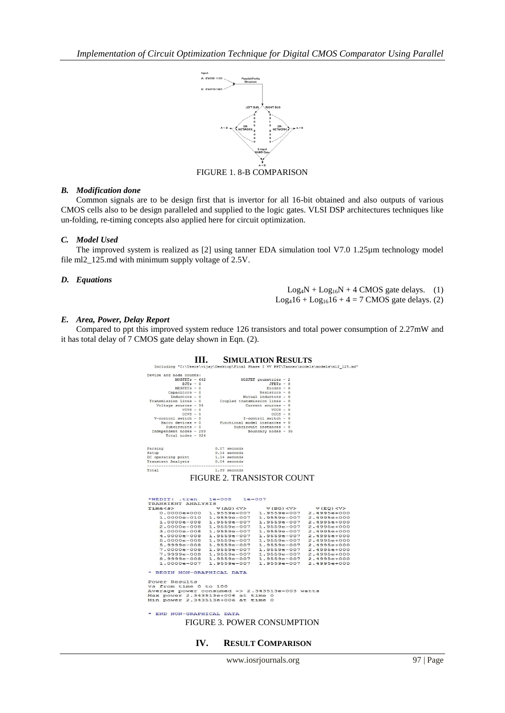

FIGURE 1. 8-B COMPARISON

### *B. Modification done*

Common signals are to be design first that is invertor for all 16-bit obtained and also outputs of various CMOS cells also to be design paralleled and supplied to the logic gates. VLSI DSP architectures techniques like un-folding, re-timing concepts also applied here for circuit optimization.

#### *C. Model Used*

The improved system is realized as [2] using tanner EDA simulation tool V7.0 1.25µm technology model file ml2\_125.md with minimum supply voltage of 2.5V.

#### *D. Equations*

 $Log_4N + Log_{16}N + 4$  CMOS gate delays. (1)  $Log_416 + Log_{16}16 + 4 = 7$  CMOS gate delays. (2)

#### *E. Area, Power, Delay Report*

Compared to ppt this improved system reduce 126 transistors and total power consumption of 2.27mW and it has total delay of 7 CMOS gate delay shown in Eqn. (2).

|                                                                                                                                                                                                                                                                                                                                                                                        |                                                                  | <b>SIMULATION RESULTS</b>                                                                                                                                                                                                        |                                                                                                                   |
|----------------------------------------------------------------------------------------------------------------------------------------------------------------------------------------------------------------------------------------------------------------------------------------------------------------------------------------------------------------------------------------|------------------------------------------------------------------|----------------------------------------------------------------------------------------------------------------------------------------------------------------------------------------------------------------------------------|-------------------------------------------------------------------------------------------------------------------|
| Including "C:\Users\vijay\Desktop\Final Phase I VV PPT\Tanner\models\models\m12 125.md"                                                                                                                                                                                                                                                                                                |                                                                  |                                                                                                                                                                                                                                  |                                                                                                                   |
| Device and node counts:<br>$MOSFETB - 642$<br>$BJTs - 0$<br>$MESTETS - 0$<br>$Capacitors - 0$<br>$Inductors - 0$<br>Transmission lines - 0<br>Voltage sources - 34<br>$VCVS - 0$<br>$CCVS - 0$<br>$V$ -control switch - 0<br>Macro devices - 0<br>$Subcircuits - 0$<br>Independent nodes - 289<br>Total nodes - 324                                                                    | Coupled transmission lines - 0<br>Functional model instances - 0 | MOSFET geometries - 2<br>$JFETs - 0$<br>$Diodes - 0$<br>$Resistors = 0$<br>Mutual inductors - 0<br>Current sources - 0<br>$VCCS - 0$<br>$CCCS - 0$<br>$I$ -control switch - 0<br>Subcircuit instances - 0<br>Boundary nodes - 35 |                                                                                                                   |
| Parsing<br>Setup<br>DC operating point<br>Transient Analysis                                                                                                                                                                                                                                                                                                                           | 0.07 seconds<br>$0.14$ seconds<br>1.14 seconds<br>$0.04$ seconds |                                                                                                                                                                                                                                  |                                                                                                                   |
| Total                                                                                                                                                                                                                                                                                                                                                                                  | 1.39 seconds                                                     |                                                                                                                                                                                                                                  |                                                                                                                   |
| *WEDIT: .tran 1e-008 1e-007<br>TRANSIENT ANALYSIS<br>Time <s></s>                                                                                                                                                                                                                                                                                                                      | $V(AG)$ <v></v>                                                  | V(BG) < V                                                                                                                                                                                                                        | $V(EQ)$ <v></v>                                                                                                   |
| 0.0000e+000 1.9559e-007<br>1.0000e-010 1.9559e-007<br>1.0000e-008 1.9559e-007<br>2.0000e-008 1.9559e-007 1.9559e-007<br>3.0000e-008 1.9559e-007<br>4.0000e-008 1.9559e-007<br>5.0000e-008 1.9559e-007 1.9559e-007 2.4995e+000<br>5.9999e-008 1.9559e-007<br>7.0000e-008 1.9559e-007<br>7.9999e-008 1.9559e-007<br>8.9999e-008 1.9559e-007<br>1.0000e-007<br>* BEGIN NON-GRAPHICAL DATA | 1.9559e-007                                                      | 1.9559e-007<br>1.9559e-007<br>1.9559e-007<br>1.9559e-007 2.4995e+000<br>1.9559e-007 2.4995e+000<br>1.9559e-007<br>1,9559e-007 2,4995e+000<br>1.9559e-007 2.4995e+000<br>1.9559e-007                                              | 1.9559e-007 2.4995e+000<br>2.4995e+000<br>2.4995e+000<br>2.4995e+000<br>2.4995e+000<br>2.4995e+000<br>2.4995e+000 |
| Power Results<br>vs from time 0 to 100<br>Average power consumed -> 2.343513e-003 watts<br>Max power 2.343513e+006 at time 0<br>Min power 2.343513e+006 at time 0                                                                                                                                                                                                                      |                                                                  |                                                                                                                                                                                                                                  |                                                                                                                   |
| * END NON-GRAPHICAL DATA<br>--------                                                                                                                                                                                                                                                                                                                                                   | $- - - - -$                                                      | --------                                                                                                                                                                                                                         | --------                                                                                                          |

FIGURE 3. POWER CONSUMPTION

## **IV. RESULT COMPARISON**